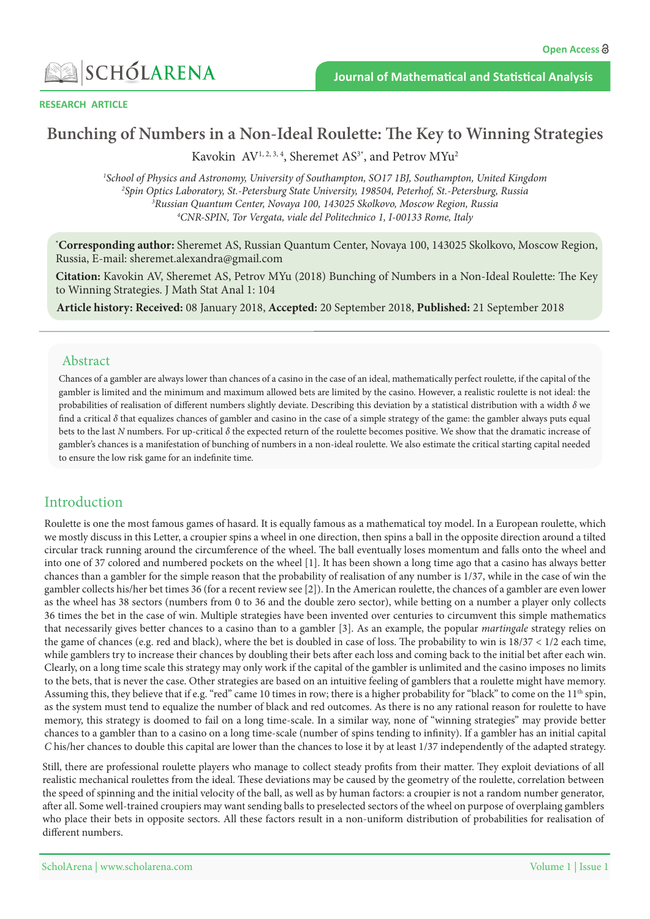

**RESEARCH ARTICLE** 

# Bunching of Numbers in a Non-Ideal Roulette: The Key to Winning Strategies

Kavokin  $AV^{1, 2, 3, 4}$ , Sheremet  $AS^{3*}$ , and Petrov  $MYu^2$ 

<sup>1</sup>School of Physics and Astronomy, University of Southampton, SO17 1BJ, Southampton, United Kingdom<br><sup>2</sup>Snin Optics Laboratory, St -Petersburg State University, 198504, Peterbof, St -Petersburg, Russia <sup>2</sup>Spin Optics Laboratory, St.-Petersburg State University, 198504, Peterhof, St.-Petersburg, Russia <sup>3</sup>Russian Quantum Center, Novaya 100, 143025 Skolkovo, Moscow Region, Russia <sup>4</sup> CNR-SPIN, Tor Vergata, viale del Politechnico 1, I-00133 Rome, Italy

<sup>\*</sup>Corresponding author: Sheremet AS, Russian Quantum Center, Novaya 100, 143025 Skolkovo, Moscow Region, Russia, E-mail: sheremet.alexandra@gmail.com

**Citation:** Kavokin AV, Sheremet AS, Petrov MYu (2018) Bunching of Numbers in a Non-Ideal Roulette: The Key to Winning Strategies. J Math Stat Anal 1: 104

Article history: Received: 08 January 2018, Accepted: 20 September 2018, Published: 21 September 2018

### Abstract

Chances of a gambler are always lower than chances of a casino in the case of an ideal, mathematically perfect roulette, if the capital of the gambler is limited and the minimum and maximum allowed bets are limited by the casino. However, a realistic roulette is not ideal: the probabilities of realisation of different numbers slightly deviate. Describing this deviation by a statistical distribution with a width δ we find a critical  $\delta$  that equalizes chances of gambler and casino in the case of a simple strategy of the game: the gambler always puts equal bets to the last N numbers. For up-critical δ the expected return of the roulette becomes positive. We show that the dramatic increase of gambler's chances is a manifestation of bunching of numbers in a non-ideal roulette. We also estimate the critical starting capital needed to ensure the low risk game for an indefinite time.

### Introduction

Roulette is one the most famous games of hasard. It is equally famous as a mathematical toy model. In a European roulette, which we mostly discuss in this Letter, a croupier spins a wheel in one direction, then spins a ball in the opposite direction around a tilted circular track running around the circumference of the wheel. The ball eventually loses momentum and falls onto the wheel and into one of 37 colored and numbered pockets on the wheel [1]. It has been shown a long time ago that a casino has always better chances than a gambler for the simple reason that the probability of realisation of any number is 1/37, while in the case of win the gambler collects his/her bet times 36 (for a recent review see [2]). In the American roulette, the chances of a gambler are even lower as the wheel has 38 sectors (numbers from 0 to 36 and the double zero sector), while betting on a number a player only collects 36 times the bet in the case of win. Multiple strategies have been invented over centuries to circumvent this simple mathematics that necessarily gives better chances to a casino than to a gambler [3]. As an example, the popular *martingale* strategy relies on the game of chances (e.g. red and black), where the bet is doubled in case of loss. The probability to win is  $18/37 < 1/2$  each time, while gamblers try to increase their chances by doubling their bets after each loss and coming back to the initial bet after each win. Clearly, on a long time scale this strategy may only work if the capital of the gambler is unlimited and the casino imposes no limits to the bets, that is never the case. Other strategies are based on an intuitive feeling of gamblers that a roulette might have memory. Assuming this, they believe that if e.g. "red" came 10 times in row; there is a higher probability for "black" to come on the 11<sup>th</sup> spin, as the system must tend to equalize the number of black and red outcomes. As there is no any rational reason for roulette to have memory, this strategy is doomed to fail on a long time-scale. In a similar way, none of "winning strategies" may provide better chances to a gambler than to a casino on a long time-scale (number of spins tending to infinity). If a gambler has an initial capital C his/her chances to double this capital are lower than the chances to lose it by at least 1/37 independently of the adapted strategy.

Still, there are professional roulette players who manage to collect steady profits from their matter. They exploit deviations of all realistic mechanical roulettes from the ideal. These deviations may be caused by the geometry of the roulette, correlation between the speed of spinning and the initial velocity of the ball, as well as by human factors: a croupier is not a random number generator, after all. Some well-trained croupiers may want sending balls to preselected sectors of the wheel on purpose of overplaing gamblers who place their bets in opposite sectors. All these factors result in a non-uniform distribution of probabilities for realisation of different numbers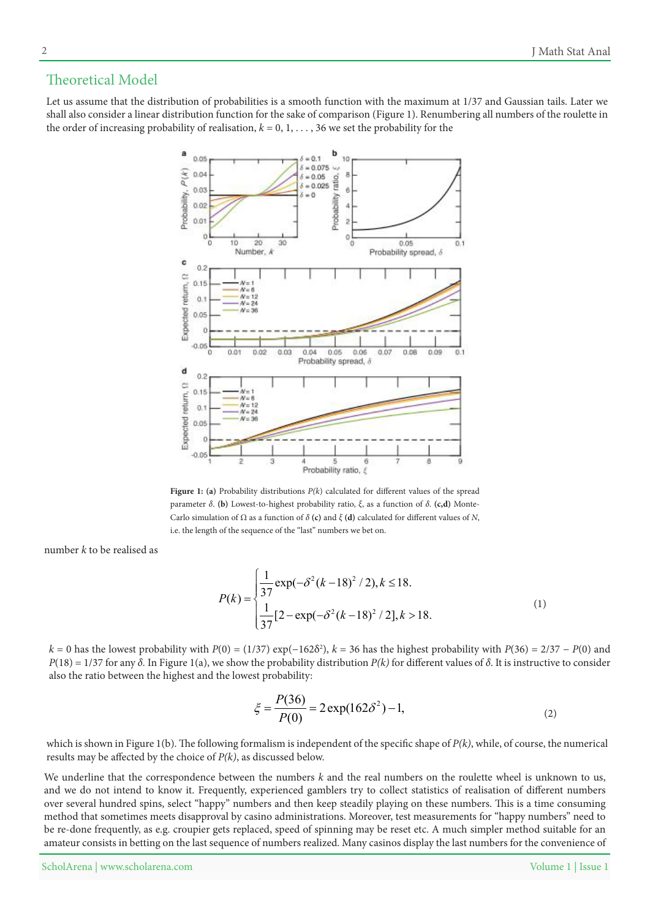## Theoretical Model

Let us assume that the distribution of probabilities is a smooth function with the maximum at 1/37 and Gaussian tails. Later we shall also consider a linear distribution function for the sake of comparison (Figure 1). Renumbering all numbers of the roulette in the order of increasing probability of realisation,  $k = 0, 1, \ldots, 36$  we set the probability for the



Figure 1: (a) Probability distributions  $P(k)$  calculated for different values of the spread Carlo simulation of  $\Omega$  as a function of  $\delta$  (**c**) and  $\xi$  (**d**) calculated for different values of N, **parameter** δ. (b) Lowest-to-highest probability ratio, ξ, as a function of δ. (c,d) Montei.e. the length of the sequence of the "last" numbers we bet on.

number k to be realised as

$$
P(k) = \begin{cases} \frac{1}{37} \exp(-\delta^2 (k-18)^2 / 2), k \le 18. \\ \frac{1}{37} [2 - \exp(-\delta^2 (k-18)^2 / 2], k > 18. \end{cases}
$$
(1)

 $k = 0$  has the lowest probability with  $P(0) = (1/37) \exp(-162\delta^2)$ ,  $k = 36$  has the highest probability with  $P(36) = 2/37 - P(0)$  and  $P(18) = 1/37$  for any  $\delta$ . In Figure 1(a), we show the probability distribution  $P(k)$  for different values of  $\delta$ . It is instructive to consider also the ratio between the highest and the lowest probability:

$$
\xi = \frac{P(36)}{P(0)} = 2 \exp(162\delta^2) - 1,\tag{2}
$$

which is shown in Figure 1(b). The following formalism is independent of the specific shape of  $P(k)$ , while, of course, the numerical results may be affected by the choice of  $P(k)$ , as discussed below.

We underline that the correspondence between the numbers  $k$  and the real numbers on the roulette wheel is unknown to us, and we do not intend to know it. Frequently, experienced gamblers try to collect statistics of realisation of different numbers over several hundred spins, select "happy" numbers and then keep steadily playing on these numbers. This is a time consuming method that sometimes meets disapproval by casino administrations. Moreover, test measurements for "happy numbers" need to be re-done frequently, as e.g. croupier gets replaced, speed of spinning may be reset etc. A much simpler method suitable for an amateur consists in betting on the last sequence of numbers realized. Many casinos display the last numbers for the convenience of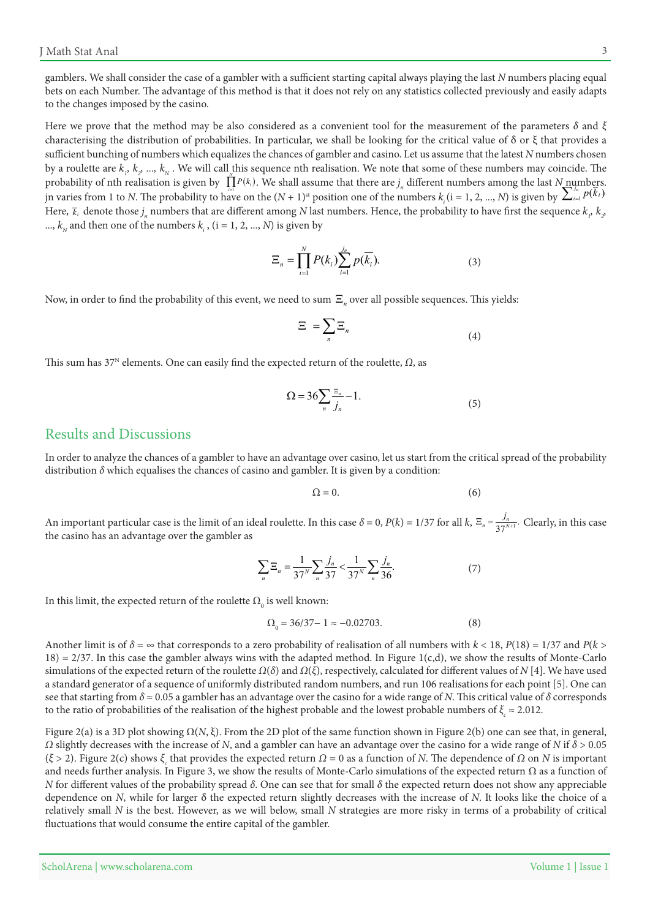gamblers. We shall consider the case of a gambler with a sufficient starting capital always playing the last N numbers placing equal bets on each Number. The advantage of this method is that it does not rely on any statistics collected previously and easily adapts to the changes imposed by the casino.

Here we prove that the method may be also considered as a convenient tool for the measurement of the parameters  $\delta$  and  $\xi$ characterising the distribution of probabilities. In particular, we shall be looking for the critical value of  $\delta$  or  $\xi$  that provides a sufficient bunching of numbers which equalizes the chances of gambler and casino. Let us assume that the latest N numbers chosen by a roulette are  $k_i$ ,  $k_2$  …,  $k_N$  . We will call this sequence nth realisation. We note that some of these numbers may coincide. The probability of nth realisation is given by  $\prod_{i=1}^n P(k_i)$ . We shall assume that there are  $j_n$  different numbers among the last  $N_{\text{number}}$ *i* numbers  $k_i$  ( $i = 1, 2, ..., N$ ) is given by  $\sum_{i=1}^{j_n} p(k_i)$  *p*  $\sum_{i=1}^{j_n} p(k_i)$ Here,  $\bar{k}_i$  denote those  $j_n$  numbers that are different among N last numbers. Hence, the probability to have first the sequence  $k_p$ ,  $k_p$  $k_N$  and then one of the numbers  $k_i$  , ( $i = 1, 2, ..., N$ ) is given by

$$
\Xi_n = \prod_{i=1}^N P(k_i) \sum_{i=1}^{j_n} p(\overline{k_i}).
$$
\n(3)

Now, in order to find the probability of this event, we need to sum  $\Xi_n$  over all possible sequences. This yields:

$$
\Xi = \sum_{n} \Xi_{n} \tag{4}
$$

This sum has 37<sup>N</sup> elements. One can easily find the expected return of the roulette, Ω, as

$$
\Omega = 36 \sum_{n} \frac{z_n}{j_n} - 1. \tag{5}
$$

#### Results and Discussions

In order to analyze the chances of a gambler to have an advantage over casino, let us start from the critical spread of the probability distribution δ which equalises the chances of casino and gambler. It is given by a condition:

$$
\Omega = 0.\t(6)
$$

An important particular case is the limit of an ideal roulette. In this case  $\delta = 0$ ,  $P(k) = 1/37$  for all  $k$ ,  $\Xi_n = \frac{j_n}{37^{N+1}}$ . Clearly, in this case the casino has an advantage over the gambler as

$$
\sum_{n} \Xi_{n} = \frac{1}{37^{N}} \sum_{n} \frac{j_{n}}{37} < \frac{1}{37^{N}} \sum_{n} \frac{j_{n}}{36}.
$$
 (7)

In this limit, the expected return of the roulette  $\Omega_{_0}$  is well known:

$$
\Omega_0 = 36/37 - 1 \approx -0.02703. \tag{8}
$$

Another limit is of  $\delta = \infty$  that corresponds to a zero probability of realisation of all numbers with  $k < 18$ ,  $P(18) = 1/37$  and  $P(k > 0)$  $(18) = 2/37$ . In this case the gambler always wins with the adapted method. In Figure 1(c,d), we show the results of Monte-Carlo simulations of the expected return of the roulette  $Ω(δ)$  and  $Ω(ξ)$ , respectively, calculated for different values of N[4]. We have used a standard generator of a sequence of uniformly distributed random numbers, and run 106 realisations for each point [5]. One can see that starting from  $\delta \approx 0.05$  a gambler has an advantage over the casino for a wide range of N. This critical value of  $\delta$  corresponds to the ratio of probabilities of the realisation of the highest probable and the lowest probable numbers of  $\xi_c \approx 2.012$ .

Figure 2(a) is a 3D plot showing  $\Omega(N, \xi)$ . From the 2D plot of the same function shown in Figure 2(b) one can see that, in general,  $Ω$  slightly decreases with the increase of N, and a gambler can have an advantage over the casino for a wide range of N if  $δ$  > 0.05 *(ξ* > 2). Figure 2(c) shows  $\xi_c$  that provides the expected return  $\Omega$  = 0 as a function of *N*. The dependence of  $\Omega$  on *N* is important and needs further analysis. In Figure 3, we show the results of Monte-Carlo simulations of the expected return  $\Omega$  as a function of  $N$  for different values of the probability spread δ. One can see that for small δ the expected return does not show any appreciable dependence on N, while for larger  $\delta$  the expected return slightly decreases with the increase of N. It looks like the choice of a relatively small N is the best. However, as we will below, small N strategies are more risky in terms of a probability of critical fluctuations that would consume the entire capital of the gambler.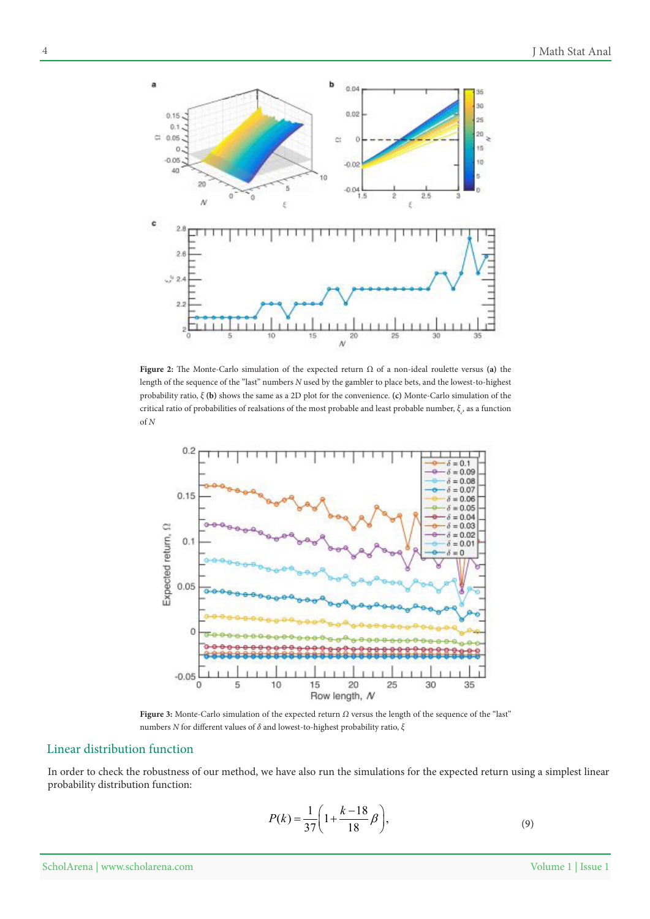

Figure 2: The Monte-Carlo simulation of the expected return  $\Omega$  of a non-ideal roulette versus (a) the length of the sequence of the "last" numbers N used by the gambler to place bets, and the lowest-to-highest probability ratio,  $\xi$  (b) shows the same as a 2D plot for the convenience. (c) Monte-Carlo simulation of the critical ratio of probabilities of realsations of the most probable and least probable number,  $\xi_c$ , as a function *N* of



Figure 3: Monte-Carlo simulation of the expected return Ω versus the length of the sequence of the "last" *numbers N* for different values of  $δ$  and lowest-to-highest probability ratio,  $ξ$ 

## Linear distribution function

In order to check the robustness of our method, we have also run the simulations for the expected return using a simplest linear probability distribution function:

$$
P(k) = \frac{1}{37} \left( 1 + \frac{k - 18}{18} \beta \right),\tag{9}
$$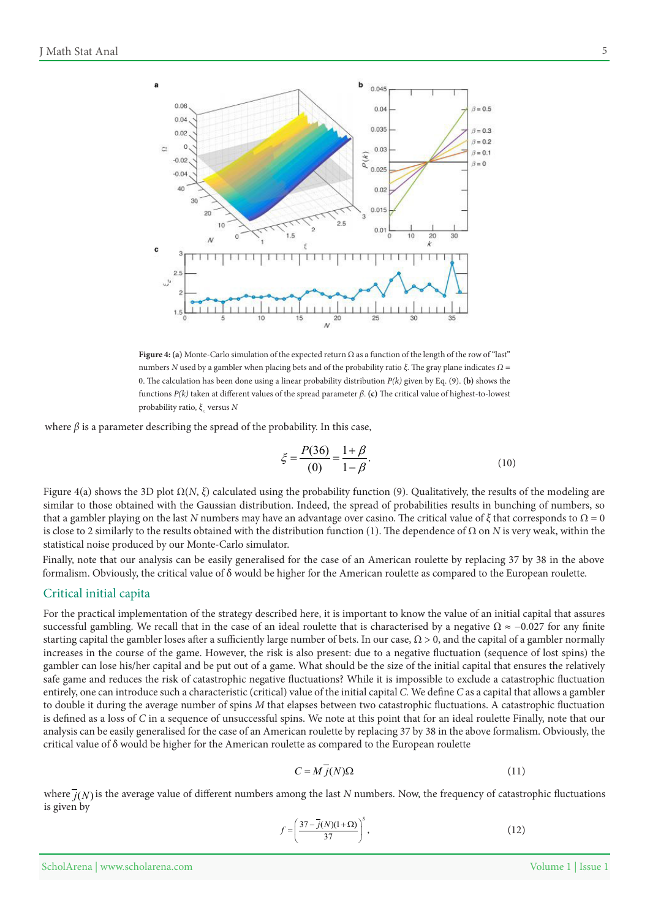

Figure 4: (a) Monte-Carlo simulation of the expected return  $\Omega$  as a function of the length of the row of "last" *numbers N* used by a gambler when placing bets and of the probability ratio ξ. The gray plane indicates  $Ω =$ 0. The calculation has been done using a linear probability distribution  $P(k)$  given by Eq. (9). (b) shows the functions  $P(k)$  taken at different values of the spread parameter β. (c) The critical value of highest-to-lowest *probability ratio, ξ<sub>c</sub> versus <i>N* 

where  $\beta$  is a parameter describing the spread of the probability. In this case,

$$
\xi = \frac{P(36)}{(0)} = \frac{1+\beta}{1-\beta}.
$$
\n(10)

Figure 4(a) shows the 3D plot  $\Omega(N, \xi)$  calculated using the probability function (9). Qualitatively, the results of the modeling are similar to those obtained with the Gaussian distribution. Indeed, the spread of probabilities results in bunching of numbers, so that a gambler playing on the last N numbers may have an advantage over casino. The critical value of  $\xi$  that corresponds to  $\Omega = 0$ is close to 2 similarly to the results obtained with the distribution function (1). The dependence of  $\Omega$  on N is very weak, within the statistical noise produced by our Monte-Carlo simulator.

Finally, note that our analysis can be easily generalised for the case of an American roulette by replacing 37 by 38 in the above formalism. Obviously, the critical value of  $\delta$  would be higher for the American roulette as compared to the European roulette.

#### Critical initial capita

For the practical implementation of the strategy described here, it is important to know the value of an initial capital that assures successful gambling. We recall that in the case of an ideal roulette that is characterised by a negative  $\Omega \approx -0.027$  for any finite starting capital the gambler loses after a sufficiently large number of bets. In our case,  $\Omega > 0$ , and the capital of a gambler normally increases in the course of the game. However, the risk is also present: due to a negative fluctuation (sequence of lost spins) the gambler can lose his/her capital and be put out of a game. What should be the size of the initial capital that ensures the relatively safe game and reduces the risk of catastrophic negative fluctuations? While it is impossible to exclude a catastrophic fluctuation entirely, one can introduce such a characteristic (critical) value of the initial capital C. We define C as a capital that allows a gambler to double it during the average number of spins M that elapses between two catastrophic fluctuations. A catastrophic fluctuation is defined as a loss of C in a sequence of unsuccessful spins. We note at this point that for an ideal roulette Finally, note that our analysis can be easily generalised for the case of an American roulette by replacing 37 by 38 in the above formalism. Obviously, the critical value of  $\delta$  would be higher for the American roulette as compared to the European roulette

$$
C = M j(N) \Omega \tag{11}
$$

where  $\overline{j}(N)$  is the average value of different numbers among the last N numbers. Now, the frequency of catastrophic fluctuations is given by

$$
f = \left(\frac{37 - j(N)(1 + \Omega)}{37}\right)^s,\tag{12}
$$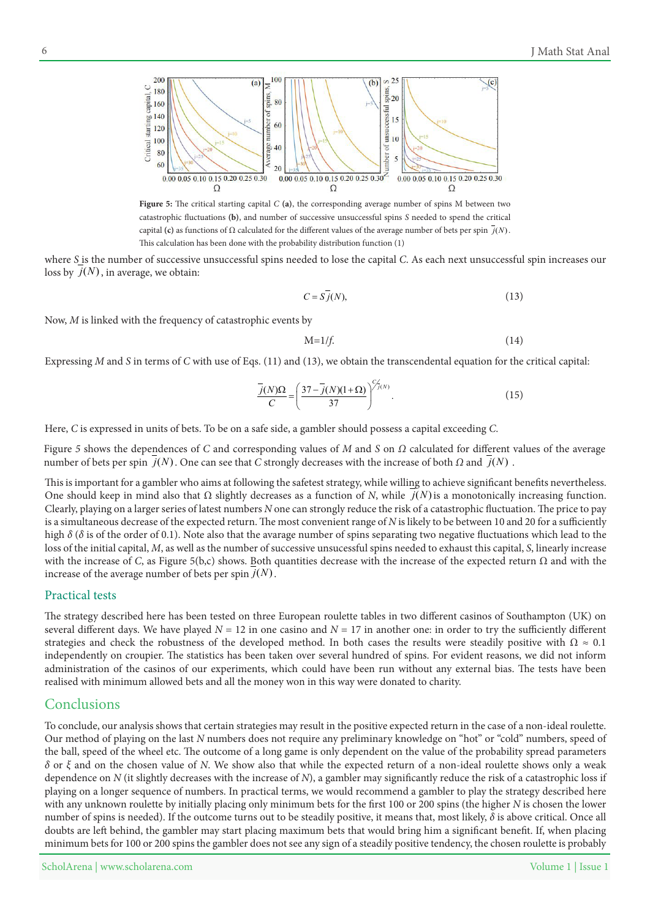

Figure 5: The critical starting capital  $C$  (a), the corresponding average number of spins  $M$  between two catastrophic fluctuations (b), and number of successive unsuccessful spins S needed to spend the critical capital (c) as functions of  $\Omega$  calculated for the different values of the average number of bets per spin  $\overline{j}(N)$ . This calculation has been done with the probability distribution function (1)

where S is the number of successive unsuccessful spins needed to lose the capital C. As each next unsuccessful spin increases our loss by  $j(N)$ , in average, we obtain:

$$
C = S\bar{j}(N),\tag{13}
$$

Now, *M* is linked with the frequency of catastrophic events by

$$
M=1/f.\tag{14}
$$

Expressing *M* and *S* in terms of *C* with use of Eqs. (11) and (13), we obtain the transcendental equation for the critical capital:

$$
\frac{\overline{j}(N)\Omega}{C} = \left(\frac{37 - \overline{j}(N)(1+\Omega)}{37}\right)^{\frac{C}{\sqrt{j}(N)}}.
$$
\n(15)

Here, C is expressed in units of bets. To be on a safe side, a gambler should possess a capital exceeding C.

Figure 5 shows the dependences of *C* and corresponding values of *M* and *S* on *Ω* calculated for different values of the average number of bets per spin  $j(N)$ . One can see that C strongly decreases with the increase of both  $\Omega$  and  $j(N)$ .

This is important for a gambler who aims at following the safetest strategy, while willing to achieve significant benefits nevertheless. One should keep in mind also that  $\Omega$  slightly decreases as a function of N, while  $j(N)$  is a monotonically increasing function. Clearly, playing on a larger series of latest numbers N one can strongly reduce the risk of a catastrophic fluctuation. The price to pay is a simultaneous decrease of the expected return. The most convenient range of N is likely to be between 10 and 20 for a sufficiently high  $\delta$  ( $\delta$  is of the order of 0.1). Note also that the avarage number of spins separating two negative fluctuations which lead to the loss of the initial capital, *M*, as well as the number of successive unsucessful spins needed to exhaust this capital, *S*, linearly increase with the increase of C, as Figure 5(b,c) shows. Both quantities decrease with the increase of the expected return  $\Omega$  and with the increase of the average number of bets per spin  $j(N)$ .

#### Practical tests

The strategy described here has been tested on three European roulette tables in two different casinos of Southampton (UK) on several different days. We have played  $N = 12$  in one casino and  $N = 17$  in another one: in order to try the sufficiently different strategies and check the robustness of the developed method. In both cases the results were steadily positive with  $\Omega \approx 0.1$ independently on croupier. The statistics has been taken over several hundred of spins. For evident reasons, we did not inform administration of the casinos of our experiments, which could have been run without any external bias. The tests have been realised with minimum allowed bets and all the money won in this way were donated to charity.

#### Conclusions

To conclude, our analysis shows that certain strategies may result in the positive expected return in the case of a non-ideal roulette. Our method of playing on the last N numbers does not require any preliminary knowledge on "hot" or "cold" numbers, speed of the ball, speed of the wheel etc. The outcome of a long game is only dependent on the value of the probability spread parameters  $\delta$  or *ξ* and on the chosen value of *N*. We show also that while the expected return of a non-ideal roulette shows only a weak dependence on N (it slightly decreases with the increase of N), a gambler may significantly reduce the risk of a catastrophic loss if playing on a longer sequence of numbers. In practical terms, we would recommend a gambler to play the strategy described here with any unknown roulette by initially placing only minimum bets for the first 100 or 200 spins (the higher N is chosen the lower number of spins is needed). If the outcome turns out to be steadily positive, it means that, most likely,  $\delta$  is above critical. Once all doubts are left behind, the gambler may start placing maximum bets that would bring him a significant benefit. If, when placing minimum bets for 100 or 200 spins the gambler does not see any sign of a steadily positive tendency, the chosen roulette is probably